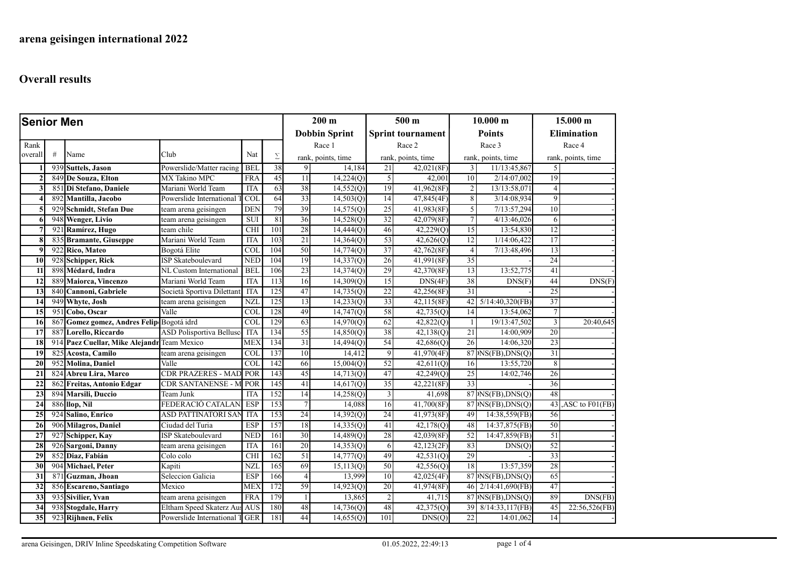| <b>Senior Men</b>  |     |                                             |                                |                        | $200 \text{ m}$      |                 | 500 <sub>m</sub>         |                | 10.000 m           |                 | 15.000 m             |                    |                       |  |
|--------------------|-----|---------------------------------------------|--------------------------------|------------------------|----------------------|-----------------|--------------------------|----------------|--------------------|-----------------|----------------------|--------------------|-----------------------|--|
|                    |     |                                             |                                |                        | <b>Dobbin Sprint</b> |                 | <b>Sprint tournament</b> |                | <b>Points</b>      |                 | <b>Elimination</b>   |                    |                       |  |
| Rank               |     |                                             |                                |                        |                      |                 | Race 1                   |                | Race 2             |                 | Race 3               |                    | Race 4                |  |
| overall            | #   | Name                                        | Club                           | Nat                    | Σ                    |                 | rank, points, time       |                | rank, points, time |                 | rank, points, time   | rank, points, time |                       |  |
|                    |     | 939 Suttels, Jason                          | Powerslide/Matter racing       | <b>BEL</b>             | $\overline{38}$      | 9               | 14,184                   | 21             | 42,021(8F)         | 3               | 11/13:45,867         | $\mathfrak{S}$     |                       |  |
| $\overline{2}$     |     | 849 De Souza, Elton                         | MX Takino MPC                  | <b>FRA</b>             | 45                   | 11              | 14,224(Q)                | 5 <sup>1</sup> | 42,001             | 10              | 2/14:07,002          | 19                 |                       |  |
| 3                  |     | 851 Di Stefano, Daniele                     | Mariani World Team             | <b>ITA</b>             | 63                   | 38              | 14,552(Q)                | 19             | 41,962(8F)         | $\overline{2}$  | 13/13:58,071         | $\vert$            |                       |  |
| 4                  | 892 | Mantilla, Jacobo                            | Powerslide International       | COI                    | 64                   | 33              | 14,503(Q)                | 14             | 47,845(4F)         | 8               | 3/14:08,934          | 9                  |                       |  |
| $\overline{\cdot}$ |     | 929 Schmidt, Stefan Due                     | team arena geisingen           | <b>DEN</b>             | 79                   | 39              | 14,575(Q)                | 25             | 41,983(8F)         | 5               | 7/13:57,294          | 10                 |                       |  |
| 6                  |     | 948 Wenger, Livio                           | team arena geisingen           | <b>SUI</b>             | 81                   | 36              | 14,528(Q)                | 32             | 42,079(8F)         | $\tau$          | 4/13:46,026          | 6                  |                       |  |
| 7                  | 921 | Ramírez, Hugo                               | team chile                     | <b>CHI</b>             | 101                  | 28              | 14,444(Q)                | 46             | 42,229(Q)          | 15              | 13:54,830            | 12                 |                       |  |
| 8                  | 835 | <b>Bramante</b> , Giuseppe                  | Mariani World Team             | <b>ITA</b>             | 103                  | 21              | 14,364(Q)                | 53             | 42,626(Q)          | 12              | 1/14:06,422          | 17                 |                       |  |
| -9                 |     | 922 Rico, Mateo                             | Bogotá Elite                   | <b>COL</b>             | 104                  | 50              | 14,774(Q)                | 37             | 42,762(8F)         | $\overline{4}$  | 7/13:48,496          | 13                 |                       |  |
| 10                 | 928 | Schipper, Rick                              | <b>ISP Skateboulevard</b>      | <b>NED</b>             | 104                  | 19              | 14,337(Q)                | 26             | 41,991(8F)         | 35              |                      | 24                 |                       |  |
| 11                 |     | 898 Médard, Indra                           | NL Custom International        | <b>BEL</b>             | 106                  | 23              | 14,374(Q)                | 29             | 42,370(8F)         | 13              | 13:52,775            | 41                 |                       |  |
| 12                 |     | 889 Maiorca, Vincenzo                       | Mariani World Team             | <b>ITA</b>             | 113                  | 16              | 14,309(O)                | 15             | DNS(4F)            | $\overline{38}$ | DNS(F)               | 44                 | DNS(F)                |  |
| 13                 |     | 840 Cannoni, Gabriele                       | Società Sportiva Dilettant     | <b>ITA</b>             | 125                  | 47              | 14,735(Q)                | 22             | 42,256(8F)         | $\overline{31}$ |                      | 25                 |                       |  |
| 14                 |     | 949 Whyte, Josh                             | team arena geisingen           | <b>NZI</b>             | 125                  | 13              | 14,233(Q)                | 33             | 42,115(8F)         | 42              | $5/14:40,320$ (FB)   | 37                 |                       |  |
| 15                 | 951 | Cobo, Oscar                                 | Valle                          | $\overline{COI}$       | 128                  | 49              | 14,747(Q)                | 58             | 42,735(Q)          | 14              | 13:54,062            | $\tau$             |                       |  |
| 16                 | 867 | Gomez gomez, Andres Felip Bogotá idrd       |                                | <b>COL</b>             | 129                  | 63              | 14,970(Q)                | 62             | 42,822(Q)          | $\mathbf{1}$    | 19/13:47,502         | $\overline{3}$     | 20:40,645             |  |
| 17                 |     | 887 Lorello, Riccardo                       | ASD Polisportiva Bellusc       | <b>ITA</b>             | 134                  | 55              | 14,850(Q)                | 38             | 42,138(Q)          | 21              | 14:00,909            | $\overline{20}$    |                       |  |
| 18                 |     | 914 Paez Cuellar, Mike Alejandr Team Mexico |                                | <b>MEX</b>             | 134                  | $\overline{31}$ | 14,494(Q)                | 54             | 42,686(Q)          | 26              | 14:06,320            | $\overline{23}$    |                       |  |
| 19                 |     | 825 Acosta, Camilo                          | team arena geisingen           | <b>COL</b>             | 137                  | 10              | 14,412                   | 9 <sup>2</sup> | 41,970(4F)         |                 | 87 DNS(FB), DNS(Q)   | 31                 |                       |  |
| 20                 |     | 952 Molina, Daniel                          | Valle                          | <b>COL</b>             | 142                  | 66              | 15,004(Q)                | 52             | 42,611(Q)          | 16              | 13:55,720            | 8                  |                       |  |
| 21                 |     | 824 Abreu Lira, Marco                       | <b>CDR PRAZERES - MA</b>       | POR                    | 143                  | 45              | 14,713(0)                | 47             | 42,249(Q)          | $\overline{25}$ | 14:02,746            | 26                 |                       |  |
| $\overline{22}$    |     | 862 Freitas, Antonio Edgar                  | <b>CDR SANTANENSE - M</b>      | POR                    | 145                  | 41              | 14,617(0)                | 35             | 42,221(8F)         | 33              |                      | $\overline{36}$    |                       |  |
| 23                 |     | 894 Marsili, Duccio                         | Team Junk                      | <b>ITA</b>             | 152                  | 14              | 14,258(Q)                | 3              | 41,698             |                 | $87 $ NS(FB),DNS(Q)  | 48                 |                       |  |
| 24                 |     | 886 llop, Nil                               | FEDERACIÓ CATALAN              | <b>ESP</b>             | 153                  | $7\phantom{.0}$ | 14,088                   | 16             | 41,700(8F)         |                 | $87$ NS(FB), DNS(Q)  |                    | $43$ , ASC to F01(FB) |  |
| 25                 | 924 | Salino, Enrico                              | <b>ASD PATTINATORI SAN</b>     | <b>ITA</b>             | 153                  | 24              | 14,392(Q)                | 24             | 41,973(8F)         | 49              | 14:38,559(FB)        | 56                 |                       |  |
| 26                 |     | 906 Milagros, Daniel                        | Ciudad del Turia               | <b>ESP</b>             | 157                  | 18              | 14,335(Q)                | 41             | 42,178(Q)          | 48              | 14:37,875(FB)        | 50                 |                       |  |
| 27                 |     | 927 Schipper, Kay                           | <b>ISP Skateboulevard</b>      | <b>NED</b>             | 161                  | 30              | 14,489(Q)                | 28             | 42,039(8F)         | $\overline{52}$ | 14:47,859(FB)        | 51                 |                       |  |
| 28                 |     | 926 Sargoni, Danny                          | team arena geisingen           | <b>ITA</b>             | 161                  | 20              | 14,353(Q)                | 6              | 42,123(2F)         | 83              | DNS(Q)               | 52                 |                       |  |
| 29                 | 852 | Diaz, Fabián                                | Colo colo                      | <b>CHI</b>             | 162                  | 51              | 14,777(Q)                | 49             | 42,531(Q)          | 29              |                      | 33                 |                       |  |
| 30                 |     | 904 Michael, Peter                          | Kapiti                         | $\overline{\text{NZ}}$ | 165                  | 69              | 15,113(0)                | 50             | 42,556(0)          | 18              | 13:57.359            | 28                 |                       |  |
| 31                 | 87  | Guzman, Jhoan                               | Seleccion Galicia              | ESP                    | 166                  | $\overline{4}$  | 13,999                   | 10             | 42,025(4F)         |                 | $87$ NS(FB), DNS(Q)  | 65                 |                       |  |
| 32                 |     | 856 Escareno, Santiago                      | Mexico                         | <b>MEX</b>             | 172                  | 59              | 14,923(Q)                | 20             | 41,974(8F)         | 46              | 2/14:41,690(FB)      | 47                 |                       |  |
| $\overline{33}$    |     | 935 Sivilier, Yvan                          | team arena geisingen           | <b>FRA</b>             | 179                  | 1               | 13,865                   | $\vert$ 2      | 41,715             |                 | $87 $ NS(FB), DNS(Q) | 89                 | DNS(FB)               |  |
| 34                 |     | 938 Stogdale, Harry                         | Eltham Speed Skaterz Aus AUS   |                        | 180                  | 48              | 14,736(Q)                | 48             | 42,375(Q)          | 39              | 8/14:33,117(FB)      | 45                 | 22:56,526(FB)         |  |
| $\overline{35}$    |     | 923 Rijhnen, Felix                          | Powerslide International T GER |                        | 181                  | 44              | 14,655(Q)                | 101            | DNS(Q)             | 22              | 14:01,062            | 14                 |                       |  |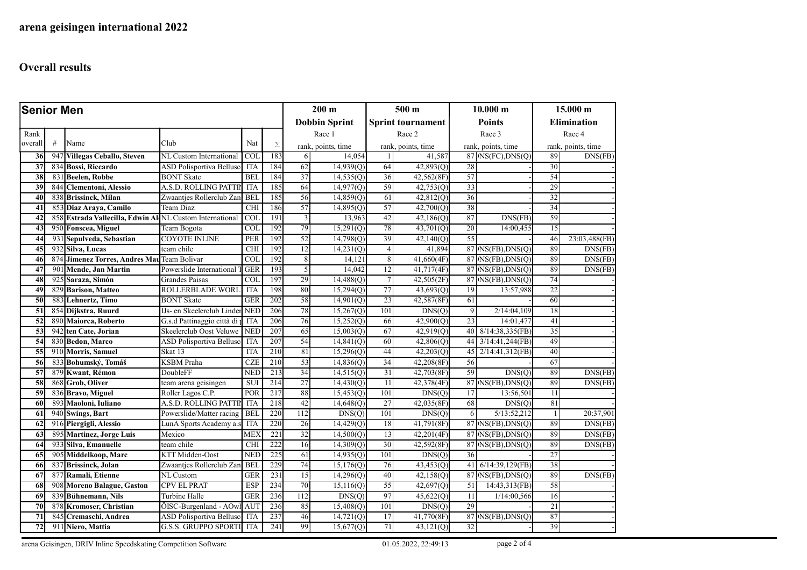| <b>Senior Men</b> |      |                                                      |                                       |                         | $200 \text{ m}$  |                      | 500 <sub>m</sub>   |                          | 10.000 m   |                    | 15.000 m                 |                    |                      |
|-------------------|------|------------------------------------------------------|---------------------------------------|-------------------------|------------------|----------------------|--------------------|--------------------------|------------|--------------------|--------------------------|--------------------|----------------------|
|                   |      |                                                      |                                       |                         |                  | <b>Dobbin Sprint</b> |                    | <b>Sprint tournament</b> |            | <b>Points</b>      |                          | <b>Elimination</b> |                      |
| Rank              |      |                                                      |                                       |                         |                  |                      | Race 1             |                          | Race 2     |                    | Race 3                   | Race 4             |                      |
| overall           | $\#$ | Name                                                 | Club                                  | Nat                     | $\Sigma$         |                      | rank, points, time | rank, points, time       |            | rank, points, time |                          | rank, points, time |                      |
| 36                | 947  | <b>Villegas Ceballo, Steven</b>                      | NL Custom International               | <b>COL</b>              | 183              | 6                    | 14,054             | $\mathbf{1}$             | 41,587     |                    | $87 $ NS(FC), DNS(Q)     | 89                 | DNS(FB)              |
| 37                | 834  | <b>Bossi, Riccardo</b>                               | <b>ASD Polisportiva Belluso</b>       | <b>ITA</b>              | 184              | 62                   | 14,939(Q)          | 64                       | 42,893(Q)  | 28                 |                          | 30                 |                      |
| 38                |      | 831 Beelen, Robbe                                    | <b>BONT Skate</b>                     | <b>BEL</b>              | 184              | 37                   | 14,535(Q)          | 36                       | 42,562(8F) | 57                 |                          | 54                 |                      |
| 39                | 844  | <b>Clementoni</b> , Alessio                          | A.S.D. ROLLING PATTIN                 | <b>ITA</b>              | 185              | 64                   | 14,977(Q)          | 59                       | 42,753(Q)  | 33                 |                          | 29                 |                      |
| 40                | 838  | <b>Brissinck, Milan</b>                              | Zwaantjes Rollerclub Zan              | <b>BEL</b>              | 185              | 56                   | 14,859(Q)          | 61                       | 42,812(Q)  | 36                 |                          | $\overline{32}$    |                      |
| 41                | 85.  | Diaz Araya, Camilo                                   | Team Diaz                             | <b>CHI</b>              | 186              | 57                   | 14,895(Q)          | 57                       | 42,700(Q)  | 38                 |                          | 34                 |                      |
| 42                | 858  | Estrada Vallecilla, Edwin Al NL Custom International |                                       | <b>COL</b>              | 191              | 3                    | 13,963             | 42                       | 42,186(Q)  | 87                 | DNS(FB)                  | 59                 |                      |
| 43                |      | 950 Fonscea, Miguel                                  | Team Bogota                           | $\overline{\text{COL}}$ | 192              | 79                   | 15,291(Q)          | 78                       | 43,701(Q)  | 20                 | 14:00,455                | 15                 |                      |
| 44                |      | 931 Sepulveda, Sebastian                             | <b>COYOTE INLINE</b>                  | <b>PER</b>              | 192              | $\overline{52}$      | 14,798(Q)          | 39                       | 42,140(Q)  | 55                 |                          | 46                 | 23:03,488(FB)        |
| 45                | 932  | Silva, Lucas                                         | team chile                            | <b>CHI</b>              | 192              | 12                   | 14,231(Q)          | 4                        | 41,894     |                    | 87 (MS(FB), DNS(Q)       | 89                 | DNS(FB)              |
| 46                | 874  | Jimenez Torres, Andres Mat Team Bolivar              |                                       | <b>COL</b>              | 192              | 8                    | 14,121             | 8 <sup>1</sup>           | 41,660(4F) |                    | $87$ NS(FB), DNS(Q)      | 89                 | DNS(FB)              |
| 47                | 90   | <b>Mende</b> , Jan Martin                            | Powerslide International              | <b>GER</b>              | 193              | 5                    | 14,042             | 12                       | 41,717(4F) |                    | $87 $ NS(FB), DNS(Q)     | 89                 | DNS(FB)              |
| 48                | 925  | Saraza, Simón                                        | Grandes Paisas                        | $\overline{COL}$        | 197              | 29                   | 14,488(Q)          | 7                        | 42,505(2F) |                    | 87 NS(FB),DNS(Q)         | 74                 |                      |
| 49                | 829  | <b>Barison, Matteo</b>                               | ROLLERBLADE WORI                      | <b>ITA</b>              | 198              | 80                   | 15,294(Q)          | 77                       | 43,693(Q)  | 19                 | 13:57,988                | $\overline{22}$    |                      |
| 50                | 883  | Lehnertz, Timo                                       | <b>BONT</b> Skate                     | <b>GER</b>              | 202              | 58                   | 14,901(Q)          | 23                       | 42,587(8F) | 61                 |                          | 60                 |                      |
| 51                | 854  | Dijkstra, Ruurd                                      | <b>IJs-</b> en Skeelerclub Linder NED |                         | 206              | 78                   | 15,267(Q)          | 101                      | DNS(Q)     | $\overline{9}$     | 2/14:04,109              | 18                 |                      |
| $\overline{52}$   |      | 890 Maiorca, Roberto                                 | G.s.d Pattinaggio città di p          | <b>ITA</b>              | 206              | 76                   | 15,252(Q)          | 66                       | 42,900(Q)  | 23                 | 14:01,477                | 41                 |                      |
| 53                | 942  | ten Cate, Jorian                                     | Skeelerclub Oost Veluwe               | <b>NED</b>              | 207              | 65                   | 15,003(Q)          | 67                       | 42,919(Q)  | 40                 | 8/14:38,335(FB)          | $\overline{35}$    |                      |
| 54                |      | 830 Bedon, Marco                                     | <b>ASD Polisportiva Bellusc</b>       | <b>ITA</b>              | 207              | 54                   | 14,841(Q)          | 60                       | 42,806(Q)  | 44                 | 3/14:41,244(FB)          | 49                 |                      |
| 55                |      | 910 Morris, Samuel                                   | Skat 13                               | <b>ITA</b>              | $\overline{210}$ | 81                   | 15,296(Q)          | 44                       | 42,203(Q)  | 45                 | $2/14:41,312$ (FB)       | 40                 |                      |
| 56                | 833  | Bohumský, Tomáš                                      | <b>KSBM</b> Praha                     | CZE                     | 210              | 53                   | 14,836(Q)          | 34                       | 42,208(8F) | 56                 |                          | 67                 |                      |
| 57                |      | 879 Kwant, Rémon                                     | DoubleFF                              | <b>NED</b>              | 213              | 34                   | 14,515(Q)          | 31                       | 42,703(8F) | 59                 | DNS(Q)                   | 89                 | DNS(FB)              |
| 58                | 868  | <b>Grob, Oliver</b>                                  | team arena geisingen                  | <b>SUI</b>              | $\overline{214}$ | $\overline{27}$      | 14,430(Q)          | 11                       | 42,378(4F) |                    | $87$ NS(FB), DNS(Q)      | 89                 | $\overline{DNS(FB)}$ |
| 59                | 836  | <b>Bravo, Miguel</b>                                 | Roller Lagos C.P.                     | POR                     | 217              | 88                   | 15,453(0)          | 101                      | DNS(Q)     | 17                 | 13:56,501                | 11                 |                      |
| 60                | 893  | Maoloni, Iuliano                                     | A.S.D. ROLLING PATTIN                 | <b>ITA</b>              | 218              | 42                   | 14,648(Q)          | 27                       | 42,035(8F) | 68                 | DNS(Q)                   | 81                 |                      |
| 61                |      | 940 Swings, Bart                                     | Powerslide/Matter racing              | <b>BEL</b>              | 220              | 112                  | DNS(Q)             | 101                      | DNS(Q)     | 6                  | $\overline{5/13:52,212}$ | $\mathbf{1}$       | 20:37,901            |
| 62                |      | 916 Piergigli, Alessio                               | LunA Sports Academy a.s               | <b>ITA</b>              | 220              | 26                   | 14,429(Q)          | 18                       | 41,791(8F) |                    | $87$ $N_S$ (FB), DNS(O)  | 89                 | DNS(FB)              |
| 63                | 895  | Martinez, Jorge Luis                                 | Mexico                                | MEX                     | 221              | 32                   | 14,500(Q)          | 13                       | 42,201(4F) |                    | $87 $ NS(FB), DNS(Q)     | 89                 | DNS(FB)              |
| 64                | 93   | Silva, Emanuelle                                     | team chile                            | <b>CHI</b>              | 222              | 16                   | 14,309(Q)          | 30                       | 42,592(8F) |                    | $87 $ NS(FB),DNS(Q)      | 89                 | DNS(FB)              |
| 65                | 905  | Middelkoop, Marc                                     | KTT Midden-Oost                       | <b>NED</b>              | 225              | 61                   | 14,935(Q)          | 101                      | DNS(Q)     | 36                 |                          | $\overline{27}$    |                      |
| 66                | 83'  | <b>Brissinck, Jolan</b>                              | Zwaantjes Rollerclub Zan              | <b>BEL</b>              | 229              | 74                   | 15,176(Q)          | 76                       | 43,453(Q)  | 41                 | $6/14:39,129$ (FB)       | 38                 |                      |
| 67                | 877  | Ramali, Etienne                                      | NL Custom                             | <b>GER</b>              | 231              | 15                   | 14,296(Q)          | 40                       | 42,158(Q)  |                    | 87 NS(FB), DNS(Q)        | 89                 | DNS(FB)              |
| 68                | 908  | <b>Moreno Balague, Gaston</b>                        | <b>CPV EL PRAT</b>                    | <b>ESP</b>              | 234              | 70                   | 15,116(Q)          | 55                       | 42,697(Q)  | 51                 | 14:43,313(FB)            | 58                 |                      |
| 69                | 839  | Bühnemann, Nils                                      | Turbine Halle                         | <b>GER</b>              | 236              | 112                  | DNS(Q)             | 97                       | 45,622(Q)  | 11                 | 1/14:00,566              | 16                 |                      |
| 70                |      | 878 Kromoser, Christian                              | ÖISC-Burgenland - AOwl AUT            |                         | 236              | 85                   | 15,408(Q)          | 101                      | DNS(Q)     | 29                 |                          | 21                 |                      |
| 71                | 845  | Cremaschi, Andrea                                    | ASD Polisportiva Bellusc              | <b>ITA</b>              | 237              | 46                   | 14,721(Q)          | 17                       | 41,770(8F) |                    | $87$ NS(FB), DNS(Q)      | 87                 |                      |
| 72                |      | 911 Niero, Mattia                                    | <b>G.S.S. GRUPPO SPORTI</b>           | <b>ITA</b>              | 241              | 99                   | 15,677(Q)          | 71                       | 43,121(Q)  | 32                 |                          | 39                 |                      |

arena Geisingen, DRIV Inline Speedskating Competition Software 01.05.2022, 22:49:13 page 2 of 4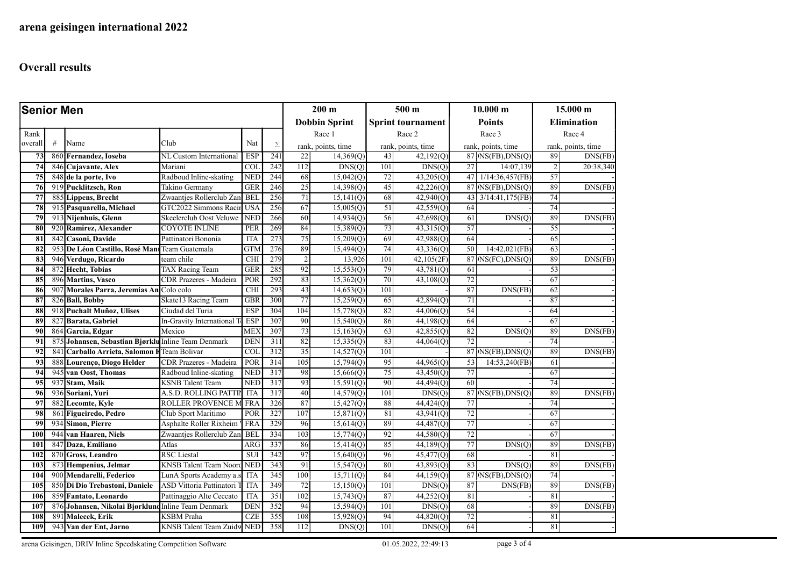| <b>Senior Men</b> |      |                                                     |                                   |                         |                      | $200 \text{ m}$ |                          | 500 <sub>m</sub>   |                       | 10.000 m           |                                | 15.000 m           |           |  |
|-------------------|------|-----------------------------------------------------|-----------------------------------|-------------------------|----------------------|-----------------|--------------------------|--------------------|-----------------------|--------------------|--------------------------------|--------------------|-----------|--|
|                   |      |                                                     |                                   |                         | <b>Dobbin Sprint</b> |                 | <b>Sprint tournament</b> |                    | <b>Points</b>         |                    | <b>Elimination</b>             |                    |           |  |
| Rank              |      |                                                     |                                   |                         |                      |                 | Race 1                   |                    | Race 2                |                    | Race 3                         |                    | Race 4    |  |
| overall           | $\#$ | Name                                                | Club                              | Nat                     | Σ                    |                 | rank, points, time       | rank, points, time |                       | rank, points, time |                                | rank, points, time |           |  |
| $\overline{73}$   |      | 860 Fernandez, Ioseba                               | NL Custom International           | <b>ESP</b>              | 241                  | 22              | 14,369(Q)                | 43                 | 42,192(Q)             |                    | $87 $ NS(FB), DNS(Q)           | 89                 | DNS(FB)   |  |
| 74                | 846  | Cujavante, Alex                                     | Mariani                           | <b>COL</b>              | 242                  | 112             | $\overline{DNS}(Q)$      | 101                | DNS(Q)                | 27                 | 14:07,139                      | $\overline{c}$     | 20:38,340 |  |
| 75                | 848  | de la porte, Ivo                                    | Radboud Inline-skating            | <b>NED</b>              | 244                  | 68              | 15,042(Q)                | 72                 | 43,205(Q)             | 47                 | 1/14:36,457(FB)                | 57                 |           |  |
| 76                |      | 919 Pucklitzsch, Ron                                | Takino Germany                    | GER                     | 246                  | 25              | 14,398(Q)                | 45                 | 42,226(Q)             |                    | $87$ <sup>NS(FB), DNS(Q)</sup> | 89                 | DNS(FB)   |  |
| 77                |      | 885 Lippens, Brecht                                 | Zwaantjes Rollerclub Zan BEL      |                         | 256                  | 71              | 15,141(Q)                | 68                 | 42,940(Q)             | 43                 | 3/14:41,175(FB)                | 74                 |           |  |
| 78                |      | 915 Pasquarella, Michael                            | GTC2022 Simmons Racir             | <b>USA</b>              | 256                  | 67              | 15,005(Q)                | 51                 | 42,559(Q)             | 64                 |                                | 74                 |           |  |
| 79                |      | 913 Nijenhuis, Glenn                                | Skeelerclub Oost Veluwe           | <b>NED</b>              | 266                  | 60              | 14,934(Q)                | 56                 | 42,698(Q)             | 61                 | DNS(O)                         | 89                 | DNS(FB)   |  |
| 80                |      | 920 Ramirez, Alexander                              | COYOTE INLINE                     | PER                     | 269                  | 84              | 15,389(Q)                | 73                 | 43,315(Q)             | 57                 |                                | 55                 |           |  |
| 81                | 842  | Casoni, Davide                                      | Pattinatori Bononia               | <b>ITA</b>              | 273                  | 75              | 15,209(Q)                | 69                 | 42,988(Q)             | 64                 |                                | 65                 |           |  |
| 82                | 953  | De Léon Castillo, Rosé Man                          | Team Guatemala                    | <b>GTM</b>              | 276                  | 89              | 15,494(Q)                | 74                 | 43,336(Q)             | 50                 | 14:42,021(FB)                  | 63                 |           |  |
| 83                | 946  | Verdugo, Ricardo                                    | team chile                        | <b>CHI</b>              | 279                  | $\overline{2}$  | 13,926                   | 101                | 42,105(2F)            |                    | $87$ NS(FC), DNS(Q)            | 89                 | DNS(FB)   |  |
| 84                | 872  | <b>Hecht</b> , Tobias                               | <b>TAX Racing Team</b>            | <b>GER</b>              | 285                  | 92              | 15,553(Q)                | 79                 | 43,781(Q)             | 61                 |                                | 53                 |           |  |
| 85                |      | 896 Martins, Vasco                                  | CDR Prazeres - Madeira            | POR                     | 292                  | 83              | 15,362(Q)                | 70                 | 43,108 <sub>(Q)</sub> | 72                 |                                | 67                 |           |  |
| 86                | 907  | Morales Parra, Jeremias An Colo colo                |                                   | <b>CHI</b>              | 293                  | 43              | 14,653(0)                | 101                |                       | 87                 | DNS(FB)                        | 62                 |           |  |
| 87                | 826  | <b>Ball, Bobby</b>                                  | Skate13 Racing Team               | <b>GBR</b>              | 300                  | 77              | 15,259(Q)                | 65                 | 42,894(Q)             | 71                 |                                | 87                 |           |  |
| 88                | 91   | <b>Puchalt Muñoz, Ulises</b>                        | Ciudad del Turia                  | <b>ESP</b>              | 304                  | 104             | 15,778(Q)                | 82                 | 44,006(Q)             | 54                 |                                | 64                 |           |  |
| 89                | 827  | Barata, Gabriel                                     | In-Gravity International          | <b>ESP</b>              | 307                  | 90              | 15,540(Q)                | 86                 | 44,198(Q)             | 64                 |                                | 67                 |           |  |
| 90                |      | 864 Garcia, Edgar                                   | Mexico                            | ME <sub>2</sub>         | 307                  | 73              | 15,163(Q)                | 63                 | 42,855(Q)             | 82                 | DNS(Q)                         | 89                 | DNS(FB)   |  |
| 91                | 875  | Johansen, Sebastian Bjørklu                         | <b>Inline Team Denmark</b>        | <b>DEN</b>              | 311                  | 82              | 15,335(Q)                | 83                 | 44,064(Q)             | 72                 |                                | 74                 |           |  |
| 92                | 84   | Carballo Arrieta, Salomon I                         | Team Bolivar                      | $\overline{\text{COI}}$ | $\overline{312}$     | $\overline{35}$ | 14,527(Q)                | 101                |                       |                    | $87$ NS(FB), DNS(Q)            | 89                 | DNS(FB)   |  |
| 93                | 888  | Lourenço, Diogo Helder                              | CDR Prazeres - Madeira            | POR                     | 314                  | 105             | 15,794(Q)                | 95                 | 44,965(Q)             | 53                 | 14:53,240(FB)                  | 61                 |           |  |
| 94                | 945  | van Oost, Thomas                                    | Radboud Inline-skating            | <b>NED</b>              | $\overline{317}$     | 98              | 15,666(Q)                | 75                 | 43,450(Q)             | 77                 |                                | 67                 |           |  |
| 95                | 937  | Stam, Maik                                          | <b>KSNB</b> Talent Team           | <b>NED</b>              | 317                  | 93              | 15,591(Q)                | 90                 | 44,494(Q)             | 60                 |                                | 74                 |           |  |
| 96                | 936  | Soriani, Yuri                                       | A.S.D. ROLLING PATTIN             | <b>ITA</b>              | 317                  | 40              | 14,579(Q)                | 101                | DNS(Q)                |                    | $87 $ NS(FB), DNS(Q)           | 89                 | DNS(FB)   |  |
| 97                | 882  | <b>Lecomte, Kyle</b>                                | ROLLER PROVENCE M                 | <b>FRA</b>              | 326                  | 87              | 15,427(Q)                | 88                 | 44,424(Q)             | 77                 |                                | 74                 |           |  |
| 98                | 861  | Figueiredo, Pedro                                   | Club Sport Maritimo               | POR                     | 327                  | 107             | 15,871(Q)                | 81                 | 43,941(Q)             | 72                 |                                | 67                 |           |  |
| 99                |      | 934 Simon, Pierre                                   | Asphalte Roller Rixheim '         | FRA                     | 329                  | 96              | 15,614(Q)                | 89                 | 44,487(Q)             | 77                 |                                | 67                 |           |  |
| 100               |      | 944 van Haaren, Niels                               | Zwaantjes Rollerclub Zan          | <b>BEL</b>              | 334                  | 103             | 15,774(Q)                | 92                 | 44,580(Q)             | 72                 |                                | 67                 |           |  |
| 101               | 847  | Daza, Emiliano                                      | Atlas                             | ARG                     | 337                  | 86              | 15,414(Q)                | 85                 | 44,189 <sub>(Q)</sub> | 77                 | DNS(Q)                         | 89                 | DNS(FB)   |  |
| 102               |      | 870 Gross, Leandro                                  | <b>RSC</b> Liestal                | <b>SUI</b>              | 342                  | 97              | 15,640(Q)                | 96                 | 45,477(Q)             | 68                 |                                | 81                 |           |  |
| 103               |      | 873 Hempenius, Jelmar                               | <b>KNSB</b> Talent Team Noord     | <b>NED</b>              | 343                  | 91              | 15,547(Q)                | 80                 | 43,893(Q)             | 83                 | DNS(Q)                         | 89                 | DNS(FB)   |  |
| 104               |      | 900 Mendarelli, Federico                            | LunA Sports Academy a.            | ITA                     | 345                  | 100             | 15,711(Q)                | 84                 | 44,159(Q)             |                    | 87 NS(FB), DNS(Q)              | 74                 |           |  |
| 105               | 850  | Di Dio Trebastoni, Daniele                          | <b>ASD Vittoria Pattinatori</b>   | <b>ITA</b>              | 349                  | 72              | 15,150(Q)                | 101                | DNS(Q)                | 87                 | DNS(FB)                        | 89                 | DNS(FB)   |  |
| 106               | 859  | Fantato, Leonardo                                   | Pattinaggio Alte Ceccato          | <b>ITA</b>              | 351                  | 102             | 15,743(Q)                | 87                 | 44,252(Q)             | 81                 |                                | 81                 |           |  |
| 107               |      | 876 Johansen, Nikolai Bjørklund Inline Team Denmark |                                   | <b>DEN</b>              | 352                  | 94              | 15,594(Q)                | 101                | DNS(Q)                | 68                 |                                | 89                 | DNS(FB)   |  |
| 108               | 89   | Malecek, Erik                                       | <b>KSBM</b> Praha                 | CZE                     | 355                  | 108             | 15,928(Q)                | 94                 | 44,820(Q)             | 72                 |                                | 81                 |           |  |
| 109               |      | 943 Van der Ent, Jarno                              | <b>KNSB</b> Talent Team Zuidw NED |                         | 358                  | 112             | DNS(Q)                   | 101                | DNS(Q)                | 64                 |                                | 81                 |           |  |

arena Geisingen, DRIV Inline Speedskating Competition Software 01.05.2022, 22:49:13 page 3 of 4